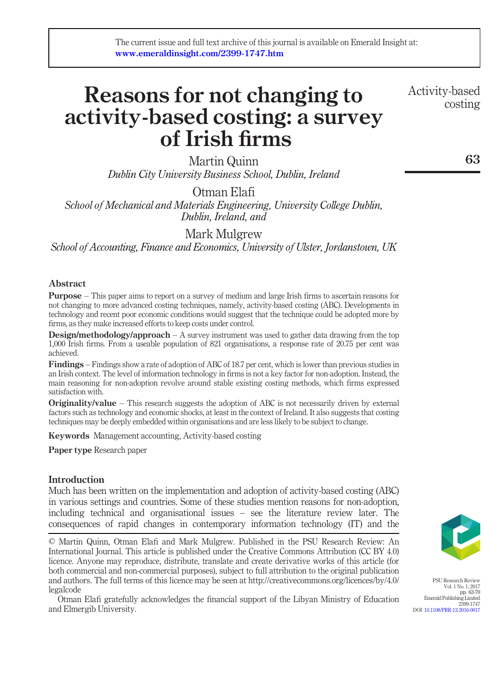# Reasons for not changing to activity-based costing: a survey of Irish firms

Martin Quinn Dublin City University Business School, Dublin, Ireland

Otman Elafi School of Mechanical and Materials Engineering, University College Dublin, Dublin, Ireland, and

Mark Mulgrew

School of Accounting, Finance and Economics, University of Ulster, Jordanstown, UK

# Abstract

**Purpose** – This paper aims to report on a survey of medium and large Irish firms to ascertain reasons for not changing to more advanced costing techniques, namely, activity-based costing (ABC). Developments in technology and recent poor economic conditions would suggest that the technique could be adopted more by firms, as they make increased efforts to keep costs under control.

**Design/methodology/approach** – A survey instrument was used to gather data drawing from the top 1,000 Irish firms. From a useable population of 821 organisations, a response rate of 20.75 per cent was achieved.

Findings – Findings show a rate of adoption of ABC of 18.7 per cent, which is lower than previous studies in an Irish context. The level of information technology in firms is not a key factor for non-adoption. Instead, the main reasoning for non-adoption revolve around stable existing costing methods, which firms expressed satisfaction with.

**Originality/value** – This research suggests the adoption of ABC is not necessarily driven by external factors such as technology and economic shocks, at least in the context of Ireland. It also suggests that costing techniques may be deeply embedded within organisations and are less likely to be subject to change.

Keywords Management accounting, Activity-based costing

Paper type Research paper

# **Introduction**

Much has been written on the implementation and adoption of activity-based costing (ABC) in various settings and countries. Some of these studies mention reasons for non-adoption, including technical and organisational issues – see the literature review later. The consequences of rapid changes in contemporary information technology (IT) and the

© Martin Quinn, Otman Elafi and Mark Mulgrew. Published in the PSU Research Review: An International Journal. This article is published under the Creative Commons Attribution (CC BY 4.0) licence. Anyone may reproduce, distribute, translate and create derivative works of this article (for both commercial and non-commercial purposes), subject to full attribution to the original publication and authors. The full terms of this licence may be seen at http://creativecommons.org/licences/by/4.0/ legalcode

Otman Elafi gratefully acknowledges the financial support of the Libyan Ministry of Education and Elmergib University.



PSU Research Review Vol. 1 No. 1, 2017 pp. 63-70 pp. 03-70<br>Emerald Publishing Limited 2399-1747 DOI [10.1108/PRR-12-2016-0017](http://dx.doi.org/10.1108/PRR-12-2016-0017)

Activity-based costing

63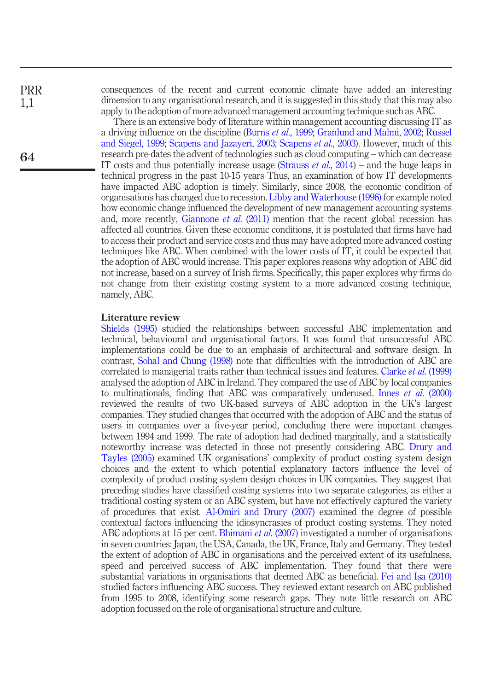PRR 1,1

64

consequences of the recent and current economic climate have added an interesting dimension to any organisational research, and it is suggested in this study that this may also apply to the adoption of more advanced management accounting technique such as ABC.

There is an extensive body of literature within management accounting discussing IT as a driving influence on the discipline (Burns et al[., 1999](#page-6-0); [Granlund and Malmi, 2002](#page-6-1); [Russel](#page-6-2) [and Siegel, 1999](#page-6-2); [Scapens and Jazayeri, 2003;](#page-6-3) [Scapens](#page-7-0) et al., 2003). However, much of this research pre-dates the advent of technologies such as cloud computing – which can decrease IT costs and thus potentially increase usage [\(Strauss](#page-7-1) *et al.*,  $2014$ ) – and the huge leaps in technical progress in the past 10-15 years Thus, an examination of how IT developments have impacted ABC adoption is timely. Similarly, since 2008, the economic condition of organisations has changed due to recession. [Libby and Waterhouse \(1996\)](#page-6-4) for example noted how economic change influenced the development of new management accounting systems and, more recently, [Giannone](#page-6-5) *et al.* (2011) mention that the recent global recession has affected all countries. Given these economic conditions, it is postulated that firms have had to access their product and service costs and thus may have adopted more advanced costing techniques like ABC. When combined with the lower costs of IT, it could be expected that the adoption of ABC would increase. This paper explores reasons why adoption of ABC did not increase, based on a survey of Irish firms. Specifically, this paper explores why firms do not change from their existing costing system to a more advanced costing technique, namely, ABC.

#### Literature review

[Shields \(1995\)](#page-7-2) studied the relationships between successful ABC implementation and technical, behavioural and organisational factors. It was found that unsuccessful ABC implementations could be due to an emphasis of architectural and software design. In contrast, [Sohal and Chung \(1998\)](#page-7-3) note that difficulties with the introduction of ABC are correlated to managerial traits rather than technical issues and features. Clarke et al[. \(1999\)](#page-6-6) analysed the adoption of ABC in Ireland. They compared the use of ABC by local companies to multinationals, finding that ABC was comparatively underused. Innes et al[. \(2000\)](#page-6-7) reviewed the results of two UK-based surveys of ABC adoption in the UK's largest companies. They studied changes that occurred with the adoption of ABC and the status of users in companies over a five-year period, concluding there were important changes between 1994 and 1999. The rate of adoption had declined marginally, and a statistically noteworthy increase was detected in those not presently considering ABC. [Drury and](#page-6-8) [Tayles \(2005\)](#page-6-8) examined UK organisations' complexity of product costing system design choices and the extent to which potential explanatory factors influence the level of complexity of product costing system design choices in UK companies. They suggest that preceding studies have classified costing systems into two separate categories, as either a traditional costing system or an ABC system, but have not effectively captured the variety of procedures that exist. [Al-Omiri and Drury \(2007\)](#page-6-9) examined the degree of possible contextual factors influencing the idiosyncrasies of product costing systems. They noted ABC adoptions at 15 per cent. [Bhimani](#page-6-10) *et al.* (2007) investigated a number of organisations in seven countries: Japan, the USA, Canada, the UK, France, Italy and Germany. They tested the extent of adoption of ABC in organisations and the perceived extent of its usefulness, speed and perceived success of ABC implementation. They found that there were substantial variations in organisations that deemed ABC as beneficial. [Fei and Isa \(2010\)](#page-6-11) studied factors influencing ABC success. They reviewed extant research on ABC published from 1995 to 2008, identifying some research gaps. They note little research on ABC adoption focussed on the role of organisational structure and culture.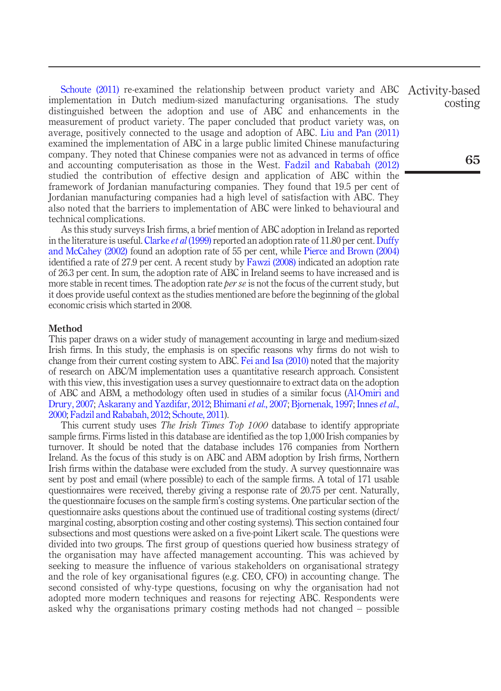[Schoute \(2011\)](#page-7-4) re-examined the relationship between product variety and ABC implementation in Dutch medium-sized manufacturing organisations. The study distinguished between the adoption and use of ABC and enhancements in the measurement of product variety. The paper concluded that product variety was, on average, positively connected to the usage and adoption of ABC. [Liu and Pan \(2011\)](#page-6-12) examined the implementation of ABC in a large public limited Chinese manufacturing company. They noted that Chinese companies were not as advanced in terms of office and accounting computerisation as those in the West. [Fadzil and Rababah \(2012\)](#page-6-13) studied the contribution of effective design and application of ABC within the framework of Jordanian manufacturing companies. They found that 19.5 per cent of Jordanian manufacturing companies had a high level of satisfaction with ABC. They also noted that the barriers to implementation of ABC were linked to behavioural and technical complications.

As this study surveys Irish firms, a brief mention of ABC adoption in Ireland as reported in the literature is useful. [Clarke](#page-6-6) *et al* (1999) reported an adoption rate of 11.80 per cent. [Duffy](#page-6-14) [and McCahey \(2002\)](#page-6-14) found an adoption rate of 55 per cent, while [Pierce and Brown \(2004\)](#page-6-15) identified a rate of 27.9 per cent. A recent study by [Fawzi \(2008\)](#page-6-16) indicated an adoption rate of 26.3 per cent. In sum, the adoption rate of ABC in Ireland seems to have increased and is more stable in recent times. The adoption rate *per se* is not the focus of the current study, but it does provide useful context as the studies mentioned are before the beginning of the global economic crisis which started in 2008.

#### Method

This paper draws on a wider study of management accounting in large and medium-sized Irish firms. In this study, the emphasis is on specific reasons why firms do not wish to change from their current costing system to ABC. [Fei and Isa \(2010\)](#page-6-11) noted that the majority of research on ABC/M implementation uses a quantitative research approach. Consistent with this view, this investigation uses a survey questionnaire to extract data on the adoption of ABC and ABM, a methodology often used in studies of a similar focus ([Al-Omiri and](#page-6-9) [Drury, 2007](#page-6-9); [Askarany and Yazdifar, 2012](#page-6-17); [Bhimani](#page-6-10) et al., 2007; [Bjornenak, 1997;](#page-6-18) [Innes](#page-6-7) et al., [2000;](#page-6-7) [Fadzil and Rababah, 2012](#page-6-13); [Schoute, 2011](#page-7-4)).

This current study uses *The Irish Times Top 1000* database to identify appropriate sample firms. Firms listed in this database are identified as the top 1,000 Irish companies by turnover. It should be noted that the database includes 176 companies from Northern Ireland. As the focus of this study is on ABC and ABM adoption by Irish firms, Northern Irish firms within the database were excluded from the study. A survey questionnaire was sent by post and email (where possible) to each of the sample firms. A total of 171 usable questionnaires were received, thereby giving a response rate of 20.75 per cent. Naturally, the questionnaire focuses on the sample firm's costing systems. One particular section of the questionnaire asks questions about the continued use of traditional costing systems (direct/ marginal costing, absorption costing and other costing systems). This section contained four subsections and most questions were asked on a five-point Likert scale. The questions were divided into two groups. The first group of questions queried how business strategy of the organisation may have affected management accounting. This was achieved by seeking to measure the influence of various stakeholders on organisational strategy and the role of key organisational figures (e.g. CEO, CFO) in accounting change. The second consisted of why-type questions, focusing on why the organisation had not adopted more modern techniques and reasons for rejecting ABC. Respondents were asked why the organisations primary costing methods had not changed – possible

Activity-based costing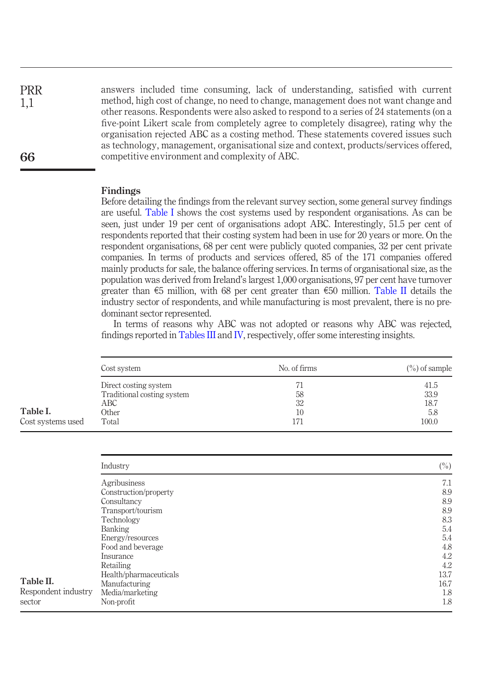answers included time consuming, lack of understanding, satisfied with current method, high cost of change, no need to change, management does not want change and other reasons. Respondents were also asked to respond to a series of 24 statements (on a five-point Likert scale from completely agree to completely disagree), rating why the organisation rejected ABC as a costing method. These statements covered issues such as technology, management, organisational size and context, products/services offered, competitive environment and complexity of ABC. PRR

#### Findings

1,1

66

Before detailing the findings from the relevant survey section, some general survey findings are useful. [Table I](#page-3-0) shows the cost systems used by respondent organisations. As can be seen, just under 19 per cent of organisations adopt ABC. Interestingly, 51.5 per cent of respondents reported that their costing system had been in use for 20 years or more. On the respondent organisations, 68 per cent were publicly quoted companies, 32 per cent private companies. In terms of products and services offered, 85 of the 171 companies offered mainly products for sale, the balance offering services. In terms of organisational size, as the population was derived from Ireland's largest 1,000 organisations, 97 per cent have turnover greater than  $\epsilon$ 5 million, with 68 per cent greater than  $\epsilon$ 50 million. [Table II](#page-3-1) details the industry sector of respondents, and while manufacturing is most prevalent, there is no predominant sector represented.

In terms of reasons why ABC was not adopted or reasons why ABC was rejected, findings reported in [Tables III](#page-4-0) and [IV,](#page-4-1) respectively, offer some interesting insights.

|                   | Cost system                       | No. of firms | $\left(\frac{9}{0}\right)$ of sample |  |
|-------------------|-----------------------------------|--------------|--------------------------------------|--|
|                   | Direct costing system             | 71           | 41.5                                 |  |
|                   | Traditional costing system<br>ABC | 58<br>32     | 33.9<br>18.7                         |  |
| Table I.          | Other                             | 10           | 5.8                                  |  |
| Cost systems used | Total                             | 171          | 100.0                                |  |

<span id="page-3-1"></span><span id="page-3-0"></span>

|                     | Industry               | $(\%)$ |
|---------------------|------------------------|--------|
|                     | Agribusiness           | 7.1    |
|                     | Construction/property  | 8.9    |
|                     | Consultancy            | 8.9    |
|                     | Transport/tourism      | 8.9    |
|                     | Technology             | 8.3    |
|                     | Banking                | 5.4    |
|                     | Energy/resources       | 5.4    |
|                     | Food and beverage      | 4.8    |
|                     | Insurance              | 4.2    |
|                     | Retailing              | 4.2    |
|                     | Health/pharmaceuticals | 13.7   |
| Table II.           | Manufacturing          | 16.7   |
| Respondent industry | Media/marketing        | 1.8    |
| sector              | Non-profit             | 1.8    |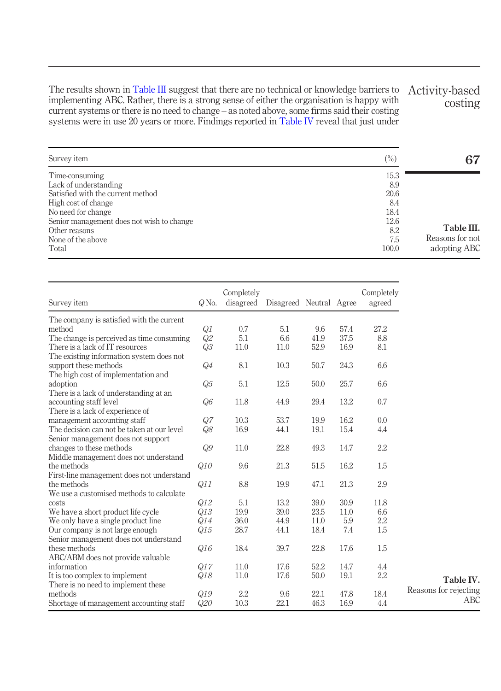The results shown in [Table III](#page-4-0) suggest that there are no technical or knowledge barriers to implementing ABC. Rather, there is a strong sense of either the organisation is happy with current systems or there is no need to change – as noted above, some firms said their costing systems were in use 20 years or more. Findings reported in [Table IV](#page-4-1) reveal that just under

<span id="page-4-0"></span>

| Activity-based |         |
|----------------|---------|
|                | costing |

| Survey item                               | $(\%)$ | 67              |
|-------------------------------------------|--------|-----------------|
| Time-consuming                            | 15.3   |                 |
| Lack of understanding                     | 8.9    |                 |
| Satisfied with the current method         | 20.6   |                 |
| High cost of change                       | 8.4    |                 |
| No need for change                        | 18.4   |                 |
| Senior management does not wish to change | 12.6   |                 |
| Other reasons                             | 8.2    | Table III.      |
| None of the above                         | 7.5    | Reasons for not |
| Total                                     | 100.0  | adopting ABC    |

<span id="page-4-1"></span>

| Survey item                                | $Q$ No.        | Completely<br>disagreed | Disagreed Neutral Agree |      |      | Completely<br>agreed |                       |
|--------------------------------------------|----------------|-------------------------|-------------------------|------|------|----------------------|-----------------------|
| The company is satisfied with the current  |                |                         |                         |      |      |                      |                       |
| method                                     | Q1             | 0.7                     | 5.1                     | 9.6  | 57.4 | 27.2                 |                       |
| The change is perceived as time consuming  | Q2             | 5.1                     | 6.6                     | 41.9 | 37.5 | 8.8                  |                       |
| There is a lack of IT resources            | Q3             | 11.0                    | 11.0                    | 52.9 | 16.9 | 8.1                  |                       |
| The existing information system does not   |                |                         |                         |      |      |                      |                       |
| support these methods                      | Q4             | 8.1                     | 10.3                    | 50.7 | 24.3 | 6.6                  |                       |
| The high cost of implementation and        |                |                         |                         |      |      |                      |                       |
| adoption                                   | Q <sub>5</sub> | 5.1                     | 12.5                    | 50.0 | 25.7 | 6.6                  |                       |
| There is a lack of understanding at an     |                |                         |                         |      |      |                      |                       |
| accounting staff level                     | Q6             | 11.8                    | 44.9                    | 29.4 | 13.2 | 0.7                  |                       |
| There is a lack of experience of           |                |                         |                         |      |      |                      |                       |
| management accounting staff                | Q7             | 10.3                    | 53.7                    | 19.9 | 16.2 | 0.0                  |                       |
| The decision can not be taken at our level | Q8             | 16.9                    | 44.1                    | 19.1 | 15.4 | 4.4                  |                       |
| Senior management does not support         |                |                         |                         |      |      |                      |                       |
| changes to these methods                   | Q9             | 11.0                    | 22.8                    | 49.3 | 14.7 | 2.2                  |                       |
| Middle management does not understand      |                |                         |                         |      |      |                      |                       |
| the methods                                | Q10            | 9.6                     | 21.3                    | 51.5 | 16.2 | 1.5                  |                       |
| First-line management does not understand  |                |                         |                         |      |      |                      |                       |
| the methods                                | Q11            | 8.8                     | 19.9                    | 47.1 | 21.3 | 2.9                  |                       |
| We use a customised methods to calculate   |                |                         |                         |      |      |                      |                       |
| costs                                      | Q12            | 5.1                     | 13.2                    | 39.0 | 30.9 | 11.8                 |                       |
| We have a short product life cycle         | Q13            | 19.9                    | 39.0                    | 23.5 | 11.0 | 6.6                  |                       |
| We only have a single product line.        | Q14            | 36.0                    | 44.9                    | 11.0 | 5.9  | 2.2                  |                       |
| Our company is not large enough            | Q15            | 28.7                    | 44.1                    | 18.4 | 7.4  | 1.5                  |                       |
| Senior management does not understand      |                |                         |                         |      |      |                      |                       |
| these methods                              | Q16            | 18.4                    | 39.7                    | 22.8 | 17.6 | 1.5                  |                       |
| ABC/ABM does not provide valuable          |                |                         |                         |      |      |                      |                       |
| information                                | Q17            | 11.0                    | 17.6                    | 52.2 | 14.7 | 4.4                  |                       |
| It is too complex to implement             | Q18            | 11.0                    | 17.6                    | 50.0 | 19.1 | 2.2                  |                       |
| There is no need to implement these        |                |                         |                         |      |      |                      | Table IV.             |
| methods                                    | Q19            | 2.2                     | 9.6                     | 22.1 | 47.8 | 18.4                 | Reasons for rejecting |
| Shortage of management accounting staff    | Q20            | 10.3                    | 22.1                    | 46.3 | 16.9 | 4.4                  |                       |
|                                            |                |                         |                         |      |      |                      |                       |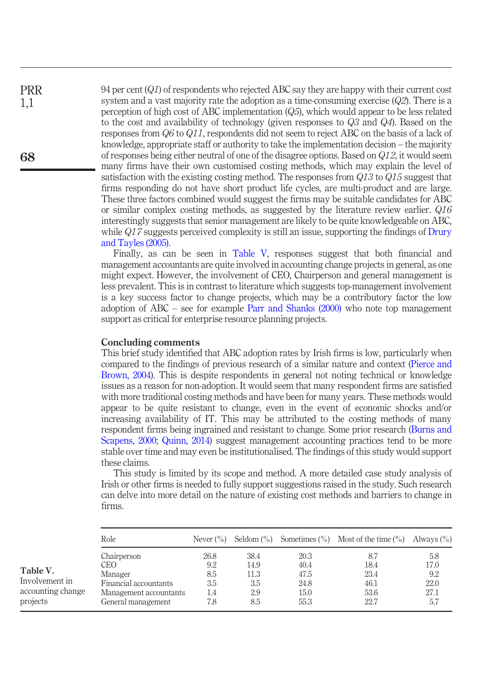94 per cent (Q1) of respondents who rejected ABC say they are happy with their current cost system and a vast majority rate the adoption as a time-consuming exercise  $(Q2)$ . There is a perception of high cost of ABC implementation  $(Q5)$ , which would appear to be less related to the cost and availability of technology (given responses to  $Q_3$  and  $Q_4$ ). Based on the responses from Q6 to Q11, respondents did not seem to reject ABC on the basis of a lack of knowledge, appropriate staff or authority to take the implementation decision – the majority of responses being either neutral of one of the disagree options. Based on Q12, it would seem many firms have their own customised costing methods, which may explain the level of satisfaction with the existing costing method. The responses from  $Q13$  to  $Q15$  suggest that firms responding do not have short product life cycles, are multi-product and are large. These three factors combined would suggest the firms may be suitable candidates for ABC or similar complex costing methods, as suggested by the literature review earlier.  $Q16$ interestingly suggests that senior management are likely to be quite knowledgeable on ABC, while  $Q17$  suggests perceived complexity is still an issue, supporting the findings of [Drury](#page-6-8) [and Tayles \(2005\)](#page-6-8).

Finally, as can be seen in [Table V](#page-5-0), responses suggest that both financial and management accountants are quite involved in accounting change projects in general, as one might expect. However, the involvement of CEO, Chairperson and general management is less prevalent. This is in contrast to literature which suggests top-management involvement is a key success factor to change projects, which may be a contributory factor the low adoption of ABC – see for example [Parr and Shanks \(2000\)](#page-6-19) who note top management support as critical for enterprise resource planning projects.

# Concluding comments

This brief study identified that ABC adoption rates by Irish firms is low, particularly when compared to the findings of previous research of a similar nature and context ([Pierce and](#page-6-15) [Brown, 2004\)](#page-6-15). This is despite respondents in general not noting technical or knowledge issues as a reason for non-adoption. It would seem that many respondent firms are satisfied with more traditional costing methods and have been for many years. These methods would appear to be quite resistant to change, even in the event of economic shocks and/or increasing availability of IT. This may be attributed to the costing methods of many respondent firms being ingrained and resistant to change. Some prior research [\(Burns and](#page-6-20) [Scapens, 2000;](#page-6-20) [Quinn, 2014\)](#page-6-21) suggest management accounting practices tend to be more stable over time and may even be institutionalised. The findings of this study would support these claims.

This study is limited by its scope and method. A more detailed case study analysis of Irish or other firms is needed to fully support suggestions raised in the study. Such research can delve into more detail on the nature of existing cost methods and barriers to change in firms.

<span id="page-5-0"></span>

|                                                             | Role                                                                                                    | Never $(\% )$                           |                                           |                                              | Seldom $(\%)$ Sometimes $(\%)$ Most of the time $(\%)$ | Always $(\% )$                            |
|-------------------------------------------------------------|---------------------------------------------------------------------------------------------------------|-----------------------------------------|-------------------------------------------|----------------------------------------------|--------------------------------------------------------|-------------------------------------------|
| Table V.<br>Involvement in<br>accounting change<br>projects | Chairperson<br>CEO.<br>Manager<br>Financial accountants<br>Management accountants<br>General management | 26.8<br>9.2<br>8.5<br>3.5<br>1.4<br>7.8 | 38.4<br>14.9<br>11.3<br>3.5<br>2.9<br>8.5 | 20.3<br>40.4<br>47.5<br>24.8<br>15.0<br>55.3 | 8.7<br>18.4<br>23.4<br>46.1<br>53.6<br>22.7            | 5.8<br>17.0<br>9.2<br>22.0<br>27.1<br>5.7 |

68

PRR 1,1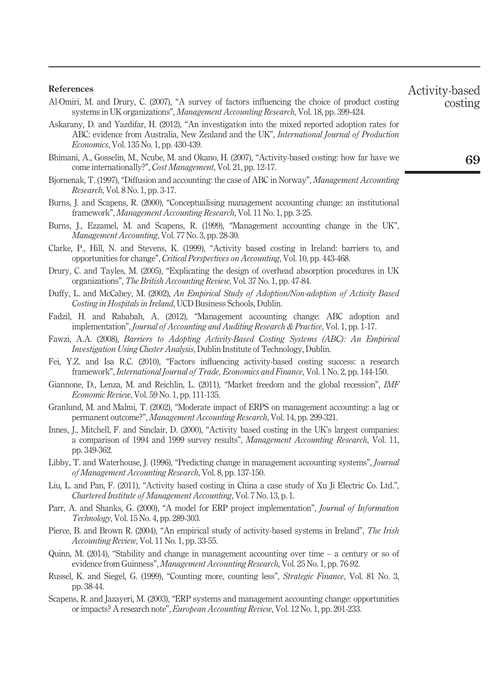#### References

- <span id="page-6-9"></span>Al-Omiri, M. and Drury, C. (2007), "A survey of factors influencing the choice of product costing systems in UK organizations", Management Accounting Research, Vol. 18, pp. 399-424.
- <span id="page-6-17"></span>Askarany, D. and Yazdifar, H. (2012), "An investigation into the mixed reported adoption rates for ABC: evidence from Australia, New Zealand and the UK", *International Journal of Production* Economics, Vol. 135 No. 1, pp. 430-439.
- <span id="page-6-10"></span>Bhimani, A., Gosselin, M., Ncube, M. and Okano, H. (2007), "Activity-based costing: how far have we come internationally?", Cost Management, Vol. 21, pp. 12-17.
- <span id="page-6-18"></span>Bjornenak, T. (1997), "Diffusion and accounting: the case of ABC in Norway", *Management Accounting* Research, Vol. 8 No. 1, pp. 3-17.
- <span id="page-6-20"></span>Burns, J. and Scapens, R. (2000), "Conceptualising management accounting change: an institutional framework", Management Accounting Research, Vol. 11 No. 1, pp. 3-25.
- <span id="page-6-0"></span>Burns, J., Ezzamel, M. and Scapens, R. (1999), "Management accounting change in the UK", Management Accounting, Vol. 77 No. 3, pp. 28-30.
- <span id="page-6-6"></span>Clarke, P., Hill, N. and Stevens, K. (1999), "Activity based costing in Ireland: barriers to, and opportunities for change", Critical Perspectives on Accounting, Vol. 10, pp. 443-468.
- <span id="page-6-8"></span>Drury, C. and Tayles, M. (2005), "Explicating the design of overhead absorption procedures in UK organizations", The British Accounting Review, Vol. 37 No. 1, pp. 47-84.
- <span id="page-6-14"></span>Duffy, L. and McCahey, M. (2002), An Empirical Study of Adoption/Non-adoption of Activity Based Costing in Hospitals in Ireland, UCD Business Schools, Dublin.
- <span id="page-6-13"></span>Fadzil, H. and Rababah, A. (2012), "Management accounting change: ABC adoption and implementation", Journal of Accounting and Auditing Research & Practice, Vol. 1, pp. 1-17.
- <span id="page-6-16"></span>Fawzi, A.A. (2008), Barriers to Adopting Activity-Based Costing Systems (ABC): An Empirical Investigation Using Cluster Analysis, Dublin Institute of Technology, Dublin.
- <span id="page-6-11"></span>Fei, Y.Z. and Isa R.C. (2010), "Factors influencing activity-based costing success: a research framework", International Journal of Trade, Economics and Finance, Vol. 1 No. 2, pp. 144-150.
- <span id="page-6-5"></span>Giannone, D., Lenza, M. and Reichlin, L. (2011), "Market freedom and the global recession", *IMF* Economic Review, Vol. 59 No. 1, pp. 111-135.
- <span id="page-6-1"></span>Granlund, M. and Malmi, T. (2002), "Moderate impact of ERPS on management accounting: a lag or permanent outcome?", Management Accounting Research, Vol. 14, pp. 299-321.
- <span id="page-6-7"></span>Innes, J., Mitchell, F. and Sinclair, D. (2000), "Activity based costing in the UK's largest companies: a comparison of 1994 and 1999 survey results", Management Accounting Research, Vol. 11, pp. 349-362.
- <span id="page-6-4"></span>Libby, T. and Waterhouse, J. (1996), "Predicting change in management accounting systems", *Journal* of Management Accounting Research, Vol. 8, pp. 137-150.
- <span id="page-6-12"></span>Liu, L. and Pan, F. (2011), "Activity based costing in China a case study of Xu Ji Electric Co. Ltd.", Chartered Institute of Management Accounting, Vol. 7 No. 13, p. 1.
- <span id="page-6-19"></span>Parr, A. and Shanks, G. (2000), "A model for ERP project implementation", *Journal of Information* Technology, Vol. 15 No. 4, pp. 289-303.
- <span id="page-6-15"></span>Pierce, B. and Brown R. (2004), "An empirical study of activity-based systems in Ireland", The Irish Accounting Review, Vol. 11 No. 1, pp. 33-55.
- <span id="page-6-21"></span>Quinn, M. (2014), "Stability and change in management accounting over time  $-$  a century or so of evidence from Guinness", Management Accounting Research, Vol. 25 No. 1, pp. 76-92.
- <span id="page-6-2"></span>Russel, K. and Siegel, G. (1999), "Counting more, counting less", Strategic Finance, Vol. 81 No. 3, pp. 38-44.
- <span id="page-6-3"></span>Scapens, R. and Jazayeri, M. (2003), "ERP systems and management accounting change: opportunities or impacts? A research note", European Accounting Review, Vol. 12 No. 1, pp. 201-233.

Activity-based

costing